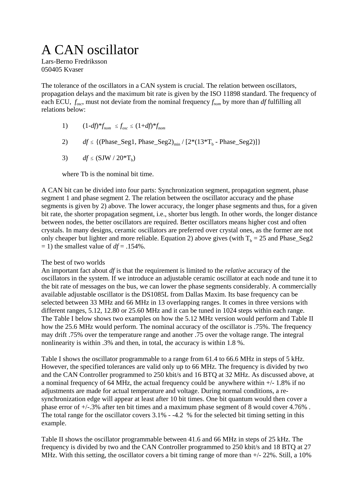# A CAN oscillator

Lars-Berno Fredriksson 050405 Kvaser

The tolerance of the oscillators in a CAN system is crucial. The relation between oscillators, propagation delays and the maximum bit rate is given by the ISO 11898 standard. The frequency of each ECU,  $f_{osc}$ , must not deviate from the nominal frequency  $f_{nom}$  by more than *df* fulfilling all relations below:

- 1)  $(1-df)^* f_{nom} \leq f_{osc} \leq (1+df)^* f_{nom}$
- 2) *df*  $\leq$  {(Phase\_Seg1, Phase\_Seg2)<sub>min</sub> / [2\*(13\*T<sub>b</sub> Phase\_Seg2)]}
- 3) *df*  $\leq$  (SJW / 20<sup>\*</sup>T<sub>b</sub>)

where Th is the nominal bit time.

A CAN bit can be divided into four parts: Synchronization segment, propagation segment, phase segment 1 and phase segment 2. The relation between the oscillator accuracy and the phase segments is given by 2) above. The lower accuracy, the longer phase segments and thus, for a given bit rate, the shorter propagation segment, i.e., shorter bus length. In other words, the longer distance between nodes, the better oscillators are required. Better oscillators means higher cost and often crystals. In many designs, ceramic oscillators are preferred over crystal ones, as the former are not only cheaper but lighter and more reliable. Equation 2) above gives (with  $T_b = 25$  and Phase\_Seg2  $=$  1) the smallest value of  $df = .154\%$ .

# The best of two worlds

An important fact about *df* is that the requirement is limited to the *relative* accuracy of the oscillators in the system. If we introduce an adjustable ceramic oscillator at each node and tune it to the bit rate of messages on the bus, we can lower the phase segments considerably. A commercially available adjustable oscillator is the DS1085L from Dallas Maxim. Its base frequency can be selected between 33 MHz and 66 MHz in 13 overlapping ranges. It comes in three versions with different ranges, 5.12, 12.80 or 25.60 MHz and it can be tuned in 1024 steps within each range. The Table I below shows two examples on how the 5.12 MHz version would perform and Table II how the 25.6 MHz would perform. The nominal accuracy of the oscillator is .75%. The frequency may drift .75% over the temperature range and another .75 over the voltage range. The integral nonlinearity is within .3% and then, in total, the accuracy is within 1.8 %.

Table I shows the oscillator programmable to a range from 61.4 to 66.6 MHz in steps of 5 kHz. However, the specified tolerances are valid only up to 66 MHz. The frequency is divided by two and the CAN Controller programmed to 250 kbit/s and 16 BTQ at 32 MHz. As discussed above, at a nominal frequency of 64 MHz, the actual frequency could be anywhere within  $+/- 1.8\%$  if no adjustments are made for actual temperature and voltage. During normal conditions, a resynchronization edge will appear at least after 10 bit times. One bit quantum would then cover a phase error of +/-.3% after ten bit times and a maximum phase segment of 8 would cover 4.76% . The total range for the oscillator covers 3.1% - -4.2 % for the selected bit timing setting in this example.

Table II shows the oscillator programmable between 41.6 and 66 MHz in steps of 25 kHz. The frequency is divided by two and the CAN Controller programmed to 250 kbit/s and 18 BTQ at 27 MHz. With this setting, the oscillator covers a bit timing range of more than +/- 22%. Still, a 10%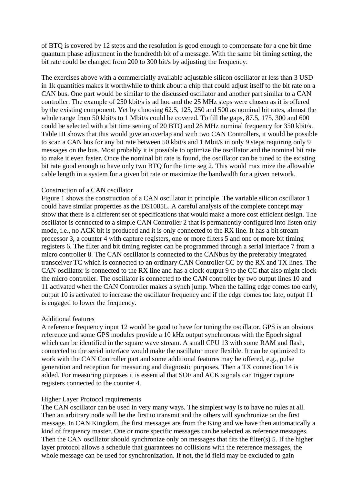of BTQ is covered by 12 steps and the resolution is good enough to compensate for a one bit time quantum phase adjustment in the hundredth bit of a message. With the same bit timing setting, the bit rate could be changed from 200 to 300 bit/s by adjusting the frequency.

The exercises above with a commercially available adjustable silicon oscillator at less than 3 USD in 1k quantities makes it worthwhile to think about a chip that could adjust itself to the bit rate on a CAN bus. One part would be similar to the discussed oscillator and another part similar to a CAN controller. The example of 250 kbit/s is ad hoc and the 25 MHz steps were chosen as it is offered by the existing component. Yet by choosing 62.5, 125, 250 and 500 as nominal bit rates, almost the whole range from 50 kbit/s to 1 Mbit/s could be covered. To fill the gaps, 87.5, 175, 300 and 600 could be selected with a bit time setting of 20 BTQ and 28 MHz nominal frequency for 350 kbit/s. Table III shows that this would give an overlap and with two CAN Controllers, it would be possible to scan a CAN bus for any bit rate between 50 kbit/s and 1 Mbit/s in only 9 steps requiring only 9 messages on the bus. Most probably it is possible to optimize the oscillator and the nominal bit rate to make it even faster. Once the nominal bit rate is found, the oscillator can be tuned to the existing bit rate good enough to have only two BTQ for the time seg 2. This would maximize the allowable cable length in a system for a given bit rate or maximize the bandwidth for a given network.

### Construction of a CAN oscillator

Figure 1 shows the construction of a CAN oscillator in principle. The variable silicon oscillator 1 could have similar properties as the DS1085L. A careful analysis of the complete concept may show that there is a different set of specifications that would make a more cost efficient design. The oscillator is connected to a simple CAN Controller 2 that is permanently configured into listen only mode, i.e., no ACK bit is produced and it is only connected to the RX line. It has a bit stream processor 3, a counter 4 with capture registers, one or more filters 5 and one or more bit timing registers 6. The filter and bit timing register can be programmed through a serial interface 7 from a micro controller 8. The CAN oscillator is connected to the CANbus by the preferably integrated transceiver TC which is connected to an ordinary CAN Controller CC by the RX and TX lines. The CAN oscillator is connected to the RX line and has a clock output 9 to the CC that also might clock the micro controller. The oscillator is connected to the CAN controller by two output lines 10 and 11 activated when the CAN Controller makes a synch jump. When the falling edge comes too early, output 10 is activated to increase the oscillator frequency and if the edge comes too late, output 11 is engaged to lower the frequency.

#### Additional features

A reference frequency input 12 would be good to have for tuning the oscillator. GPS is an obvious reference and some GPS modules provide a 10 kHz output synchronous with the Epoch signal which can be identified in the square wave stream. A small CPU 13 with some RAM and flash, connected to the serial interface would make the oscillator more flexible. It can be optimized to work with the CAN Controller part and some additional features may be offered, e.g., pulse generation and reception for measuring and diagnostic purposes. Then a TX connection 14 is added. For measuring purposes it is essential that SOF and ACK signals can trigger capture registers connected to the counter 4.

#### Higher Layer Protocol requirements

The CAN oscillator can be used in very many ways. The simplest way is to have no rules at all. Then an arbitrary node will be the first to transmit and the others will synchronize on the first message. In CAN Kingdom, the first messages are from the King and we have then automatically a kind of frequency master. One or more specific messages can be selected as reference messages. Then the CAN oscillator should synchronize only on messages that fits the filter(s) 5. If the higher layer protocol allows a schedule that guarantees no collisions with the reference messages, the whole message can be used for synchronization. If not, the id field may be excluded to gain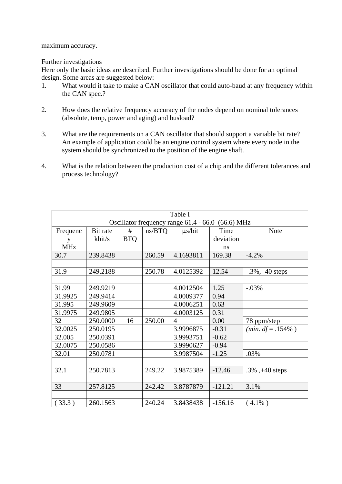maximum accuracy.

## Further investigations

Here only the basic ideas are described. Further investigations should be done for an optimal design. Some areas are suggested below:

- 1. What would it take to make a CAN oscillator that could auto-baud at any frequency within the CAN spec.?
- 2. How does the relative frequency accuracy of the nodes depend on nominal tolerances (absolute, temp, power and aging) and busload?
- 3. What are the requirements on a CAN oscillator that should support a variable bit rate? An example of application could be an engine control system where every node in the system should be synchronized to the position of the engine shaft.
- 4. What is the relation between the production cost of a chip and the different tolerances and process technology?

| Table I                                           |          |            |        |                |           |                           |  |
|---------------------------------------------------|----------|------------|--------|----------------|-----------|---------------------------|--|
| Oscillator frequency range 61.4 - 66.0 (66.6) MHz |          |            |        |                |           |                           |  |
| Frequenc                                          | Bit rate | #          | ns/BTQ | $\mu$ s/bit    | Time      | <b>Note</b>               |  |
| y                                                 | kbit/s   | <b>BTQ</b> |        |                | deviation |                           |  |
| <b>MHz</b>                                        |          |            |        |                | ns        |                           |  |
| 30.7                                              | 239.8438 |            | 260.59 | 4.1693811      | 169.38    | $-4.2%$                   |  |
|                                                   |          |            |        |                |           |                           |  |
| 31.9                                              | 249.2188 |            | 250.78 | 4.0125392      | 12.54     | $-0.3\%$ , $-40$ steps    |  |
|                                                   |          |            |        |                |           |                           |  |
| 31.99                                             | 249.9219 |            |        | 4.0012504      | 1.25      | $-.03%$                   |  |
| 31.9925                                           | 249.9414 |            |        | 4.0009377      | 0.94      |                           |  |
| 31.995                                            | 249.9609 |            |        | 4.0006251      | 0.63      |                           |  |
| 31.9975                                           | 249.9805 |            |        | 4.0003125      | 0.31      |                           |  |
| 32                                                | 250.0000 | 16         | 250.00 | $\overline{4}$ | 0.00      | 78 ppm/step               |  |
| 32.0025                                           | 250.0195 |            |        | 3.9996875      | $-0.31$   | ( <i>min. df</i> = .154%) |  |
| 32.005                                            | 250.0391 |            |        | 3.9993751      | $-0.62$   |                           |  |
| 32.0075                                           | 250.0586 |            |        | 3.9990627      | $-0.94$   |                           |  |
| 32.01                                             | 250.0781 |            |        | 3.9987504      | $-1.25$   | .03%                      |  |
|                                                   |          |            |        |                |           |                           |  |
| 32.1                                              | 250.7813 |            | 249.22 | 3.9875389      | $-12.46$  | .3%, $+40$ steps          |  |
|                                                   |          |            |        |                |           |                           |  |
| 33                                                | 257.8125 |            | 242.42 | 3.8787879      | $-121.21$ | 3.1%                      |  |
|                                                   |          |            |        |                |           |                           |  |
| (33.3)                                            | 260.1563 |            | 240.24 | 3.8438438      | $-156.16$ | $4.1\%$ )                 |  |